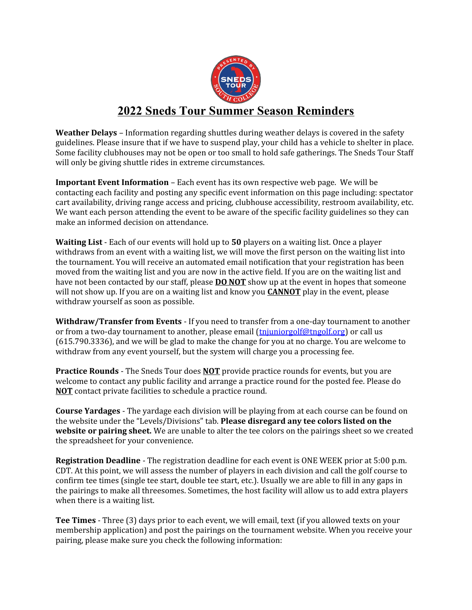

## **2022 Sneds Tour Summer Season Reminders**

**Weather Delays** – Information regarding shuttles during weather delays is covered in the safety guidelines. Please insure that if we have to suspend play, your child has a vehicle to shelter in place. Some facility clubhouses may not be open or too small to hold safe gatherings. The Sneds Tour Staff will only be giving shuttle rides in extreme circumstances.

**Important Event Information** – Each event has its own respective web page. We will be contacting each facility and posting any specific event information on this page including: spectator cart availability, driving range access and pricing, clubhouse accessibility, restroom availability, etc. We want each person attending the event to be aware of the specific facility guidelines so they can make an informed decision on attendance.

**Waiting List** - Each of our events will hold up to **50** players on a waiting list. Once a player withdraws from an event with a waiting list, we will move the first person on the waiting list into the tournament. You will receive an automated email notification that your registration has been moved from the waiting list and you are now in the active field. If you are on the waiting list and have not been contacted by our staff, please **DO NOT** show up at the event in hopes that someone will not show up. If you are on a waiting list and know you **CANNOT** play in the event, please withdraw yourself as soon as possible.

**Withdraw/Transfer from Events** - If you need to transfer from a one-day tournament to another or from a two-day tournament to another, please email [\(tnjuniorgolf@tngolf.org\)](mailto:tnjuniorgolf@tngolf.org) or call us (615.790.3336), and we will be glad to make the change for you at no charge. You are welcome to withdraw from any event yourself, but the system will charge you a processing fee.

**Practice Rounds** - The Sneds Tour does **NOT** provide practice rounds for events, but you are welcome to contact any public facility and arrange a practice round for the posted fee. Please do **NOT** contact private facilities to schedule a practice round.

**Course Yardages** - The yardage each division will be playing from at each course can be found on the website under the "Levels/Divisions" tab. **Please disregard any tee colors listed on the website or pairing sheet.** We are unable to alter the tee colors on the pairings sheet so we created the spreadsheet for your convenience.

**Registration Deadline** - The registration deadline for each event is ONE WEEK prior at 5:00 p.m. CDT. At this point, we will assess the number of players in each division and call the golf course to confirm tee times (single tee start, double tee start, etc.). Usually we are able to fill in any gaps in the pairings to make all threesomes. Sometimes, the host facility will allow us to add extra players when there is a waiting list.

**Tee Times** - Three (3) days prior to each event, we will email, text (if you allowed texts on your membership application) and post the pairings on the tournament website. When you receive your pairing, please make sure you check the following information: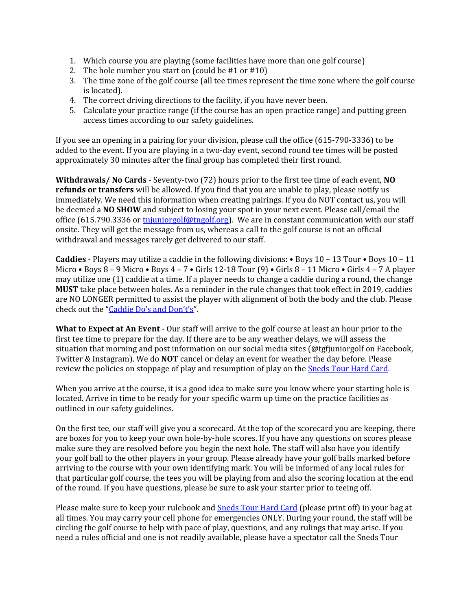- 1. Which course you are playing (some facilities have more than one golf course)
- 2. The hole number you start on (could be #1 or #10)
- 3. The time zone of the golf course (all tee times represent the time zone where the golf course is located).
- 4. The correct driving directions to the facility, if you have never been.
- 5. Calculate your practice range (if the course has an open practice range) and putting green access times according to our safety guidelines.

If you see an opening in a pairing for your division, please call the office (615-790-3336) to be added to the event. If you are playing in a two-day event, second round tee times will be posted approximately 30 minutes after the final group has completed their first round.

**Withdrawals/ No Cards** - Seventy-two (72) hours prior to the first tee time of each event, **NO refunds or transfers** will be allowed. If you find that you are unable to play, please notify us immediately. We need this information when creating pairings. If you do NOT contact us, you will be deemed a **NO SHOW** and subject to losing your spot in your next event. Please call/email the office (615.790.3336 or  $\frac{t}{2}$  the through the state in constant communication with our staff onsite. They will get the message from us, whereas a call to the golf course is not an official withdrawal and messages rarely get delivered to our staff.

**Caddies** - Players may utilize a caddie in the following divisions: • Boys 10 – 13 Tour • Boys 10 – 11 Micro • Boys 8 – 9 Micro • Boys 4 – 7 • Girls 12-18 Tour (9) • Girls 8 – 11 Micro • Girls 4 – 7 A player may utilize one (1) caddie at a time. If a player needs to change a caddie during a round, the change **MUST** take place between holes. As a reminder in the rule changes that took effect in 2019, caddies are NO LONGER permitted to assist the player with alignment of both the body and the club. Please check out the ["Caddie Do's and Don't's](http://snedstour.org/policies/caddie-guidelines-212.html)".

**What to Expect at An Event** - Our staff will arrive to the golf course at least an hour prior to the first tee time to prepare for the day. If there are to be any weather delays, we will assess the situation that morning and post information on our social media sites (@tgfjuniorgolf on Facebook, Twitter & Instagram). We do **NOT** cancel or delay an event for weather the day before. Please review the policies on stoppage of play and resumption of play on the **Sneds Tour Hard Card**.

When you arrive at the course, it is a good idea to make sure you know where your starting hole is located. Arrive in time to be ready for your specific warm up time on the practice facilities as outlined in our safety guidelines.

On the first tee, our staff will give you a scorecard. At the top of the scorecard you are keeping, there are boxes for you to keep your own hole-by-hole scores. If you have any questions on scores please make sure they are resolved before you begin the next hole. The staff will also have you identify your golf ball to the other players in your group. Please already have your golf balls marked before arriving to the course with your own identifying mark. You will be informed of any local rules for that particular golf course, the tees you will be playing from and also the scoring location at the end of the round. If you have questions, please be sure to ask your starter prior to teeing off.

Please make sure to keep your rulebook and [Sneds Tour Hard Card](http://snedstour.org/_filelib/FileCabinet/Sneds_Tour/2020_Sneds_Tour_Hard_Card.pdf) (please print off) in your bag at all times. You may carry your cell phone for emergencies ONLY. During your round, the staff will be circling the golf course to help with pace of play, questions, and any rulings that may arise. If you need a rules official and one is not readily available, please have a spectator call the Sneds Tour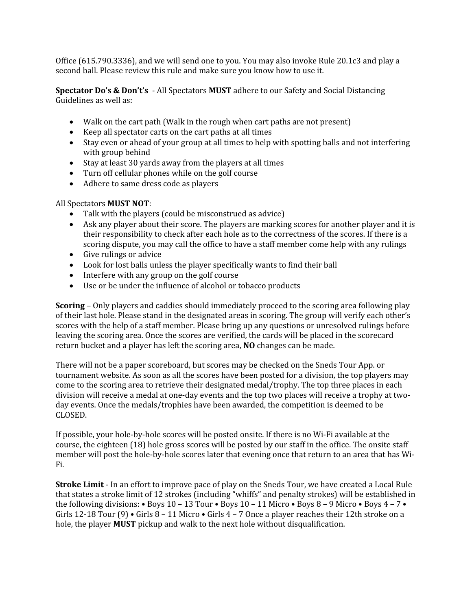Office (615.790.3336), and we will send one to you. You may also invoke Rule 20.1c3 and play a second ball. Please review this rule and make sure you know how to use it.

**Spectator Do's & Don't's** - All Spectators **MUST** adhere to our Safety and Social Distancing Guidelines as well as:

- Walk on the cart path (Walk in the rough when cart paths are not present)
- Keep all spectator carts on the cart paths at all times
- Stay even or ahead of your group at all times to help with spotting balls and not interfering with group behind
- Stay at least 30 yards away from the players at all times
- Turn off cellular phones while on the golf course
- Adhere to same dress code as players

## All Spectators **MUST NOT**:

- Talk with the players (could be misconstrued as advice)
- Ask any player about their score. The players are marking scores for another player and it is their responsibility to check after each hole as to the correctness of the scores. If there is a scoring dispute, you may call the office to have a staff member come help with any rulings
- Give rulings or advice
- Look for lost balls unless the player specifically wants to find their ball
- Interfere with any group on the golf course
- Use or be under the influence of alcohol or tobacco products

**Scoring** – Only players and caddies should immediately proceed to the scoring area following play of their last hole. Please stand in the designated areas in scoring. The group will verify each other's scores with the help of a staff member. Please bring up any questions or unresolved rulings before leaving the scoring area. Once the scores are verified, the cards will be placed in the scorecard return bucket and a player has left the scoring area, **NO** changes can be made.

There will not be a paper scoreboard, but scores may be checked on the Sneds Tour App. or tournament website. As soon as all the scores have been posted for a division, the top players may come to the scoring area to retrieve their designated medal/trophy. The top three places in each division will receive a medal at one-day events and the top two places will receive a trophy at twoday events. Once the medals/trophies have been awarded, the competition is deemed to be CLOSED.

If possible, your hole-by-hole scores will be posted onsite. If there is no Wi-Fi available at the course, the eighteen (18) hole gross scores will be posted by our staff in the office. The onsite staff member will post the hole-by-hole scores later that evening once that return to an area that has Wi-Fi.

**Stroke Limit** - In an effort to improve pace of play on the Sneds Tour, we have created a Local Rule that states a stroke limit of 12 strokes (including "whiffs" and penalty strokes) will be established in the following divisions: • Boys  $10 - 13$  Tour • Boys  $10 - 11$  Micro • Boys  $8 - 9$  Micro • Boys  $4 - 7$  • Girls 12-18 Tour (9) • Girls 8 – 11 Micro • Girls 4 – 7 Once a player reaches their 12th stroke on a hole, the player **MUST** pickup and walk to the next hole without disqualification.